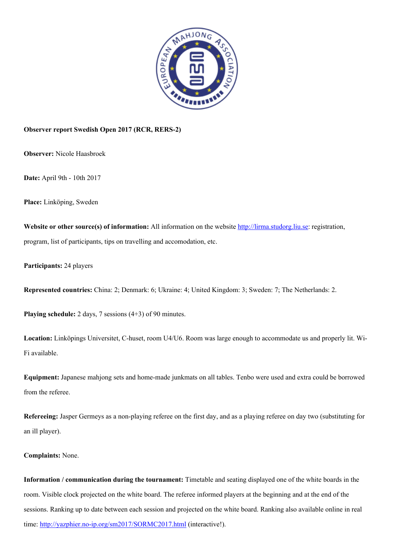

## **Observer report Swedish Open 2017 (RCR, RERS-2)**

**Observer:** Nicole Haasbroek

**Date:** April 9th - 10th 2017

**Place:** Linköping, Sweden

**Website or other source(s) of information:** All information on the website [http://lirma.studorg.liu.se:](http://lirma.studorg.liu.se/) registration, program, list of participants, tips on travelling and accomodation, etc.

**Participants:** 24 players

**Represented countries:** China: 2; Denmark: 6; Ukraine: 4; United Kingdom: 3; Sweden: 7; The Netherlands: 2.

**Playing schedule:** 2 days, 7 sessions (4+3) of 90 minutes.

**Location:** Linköpings Universitet, C-huset, room U4/U6. Room was large enough to accommodate us and properly lit. Wi-Fi available.

**Equipment:** Japanese mahjong sets and home-made junkmats on all tables. Tenbo were used and extra could be borrowed from the referee.

**Refereeing:** Jasper Germeys as a non-playing referee on the first day, and as a playing referee on day two (substituting for an ill player).

**Complaints:** None.

**Information / communication during the tournament:** Timetable and seating displayed one of the white boards in the room. Visible clock projected on the white board. The referee informed players at the beginning and at the end of the sessions. Ranking up to date between each session and projected on the white board. Ranking also available online in real time:<http://yazphier.no-ip.org/sm2017/SORMC2017.html>(interactive!).